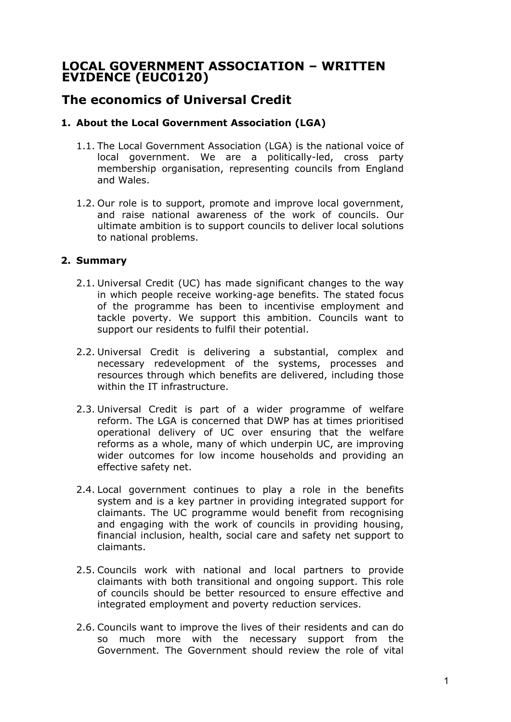## **LOCAL GOVERNMENT ASSOCIATION – WRITTEN EVIDENCE (EUC0120)**

# **The economics of Universal Credit**

## **1. About the Local Government Association (LGA)**

- 1.1. The Local Government Association (LGA) is the national voice of local government. We are a politically-led, cross party membership organisation, representing councils from England and Wales.
- 1.2. Our role is to support, promote and improve local government, and raise national awareness of the work of councils. Our ultimate ambition is to support councils to deliver local solutions to national problems.

### **2. Summary**

- 2.1. Universal Credit (UC) has made significant changes to the way in which people receive working-age benefits. The stated focus of the programme has been to incentivise employment and tackle poverty. We support this ambition. Councils want to support our residents to fulfil their potential.
- 2.2. Universal Credit is delivering a substantial, complex and necessary redevelopment of the systems, processes and resources through which benefits are delivered, including those within the IT infrastructure.
- 2.3. Universal Credit is part of a wider programme of welfare reform. The LGA is concerned that DWP has at times prioritised operational delivery of UC over ensuring that the welfare reforms as a whole, many of which underpin UC, are improving wider outcomes for low income households and providing an effective safety net.
- 2.4. Local government continues to play a role in the benefits system and is a key partner in providing integrated support for claimants. The UC programme would benefit from recognising and engaging with the work of councils in providing housing, financial inclusion, health, social care and safety net support to claimants.
- 2.5. Councils work with national and local partners to provide claimants with both transitional and ongoing support. This role of councils should be better resourced to ensure effective and integrated employment and poverty reduction services.
- 2.6. Councils want to improve the lives of their residents and can do so much more with the necessary support from the Government. The Government should review the role of vital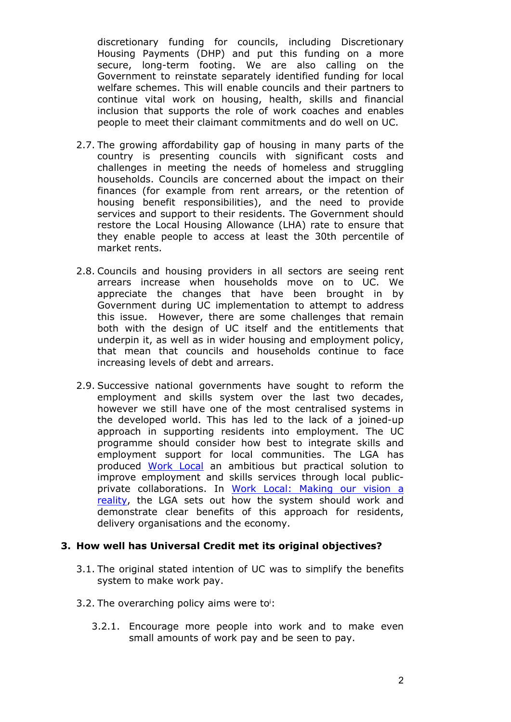discretionary funding for councils, including Discretionary Housing Payments (DHP) and put this funding on a more secure, long-term footing. We are also calling on the Government to reinstate separately identified funding for local welfare schemes. This will enable councils and their partners to continue vital work on housing, health, skills and financial inclusion that supports the role of work coaches and enables people to meet their claimant commitments and do well on UC.

- 2.7. The growing affordability gap of housing in many parts of the country is presenting councils with significant costs and challenges in meeting the needs of homeless and struggling households. Councils are concerned about the impact on their finances (for example from rent arrears, or the retention of housing benefit responsibilities), and the need to provide services and support to their residents. The Government should restore the Local Housing Allowance (LHA) rate to ensure that they enable people to access at least the 30th percentile of market rents.
- 2.8. Councils and housing providers in all sectors are seeing rent arrears increase when households move on to UC. We appreciate the changes that have been brought in by Government during UC implementation to attempt to address this issue. However, there are some challenges that remain both with the design of UC itself and the entitlements that underpin it, as well as in wider housing and employment policy, that mean that councils and households continue to face increasing levels of debt and arrears.
- 2.9. Successive national governments have sought to reform the employment and skills system over the last two decades, however we still have one of the most centralised systems in the developed world. This has led to the lack of a joined-up approach in supporting residents into employment. The UC programme should consider how best to integrate skills and employment support for local communities. The LGA has produced [Work](https://www.local.gov.uk/topics/employment-and-skills/work-local) [Local](https://www.local.gov.uk/topics/employment-and-skills/work-local) an ambitious but practical solution to improve employment and skills services through local publicprivate collaborations. In [Work](https://www.local.gov.uk/work-local-making-our-vision-reality) [Local:](https://www.local.gov.uk/work-local-making-our-vision-reality) [Making](https://www.local.gov.uk/work-local-making-our-vision-reality) [our](https://www.local.gov.uk/work-local-making-our-vision-reality) [vision](https://www.local.gov.uk/work-local-making-our-vision-reality) [a](https://www.local.gov.uk/work-local-making-our-vision-reality) [reality](https://www.local.gov.uk/work-local-making-our-vision-reality), the LGA sets out how the system should work and demonstrate clear benefits of this approach for residents, delivery organisations and the economy.

#### **3. How well has Universal Credit met its original objectives?**

- 3.1. The original stated intention of UC was to simplify the benefits system to make work pay.
- 3.2. The overarching policy aims were to<sup>i</sup>:
	- 3.2.1. Encourage more people into work and to make even small amounts of work pay and be seen to pay.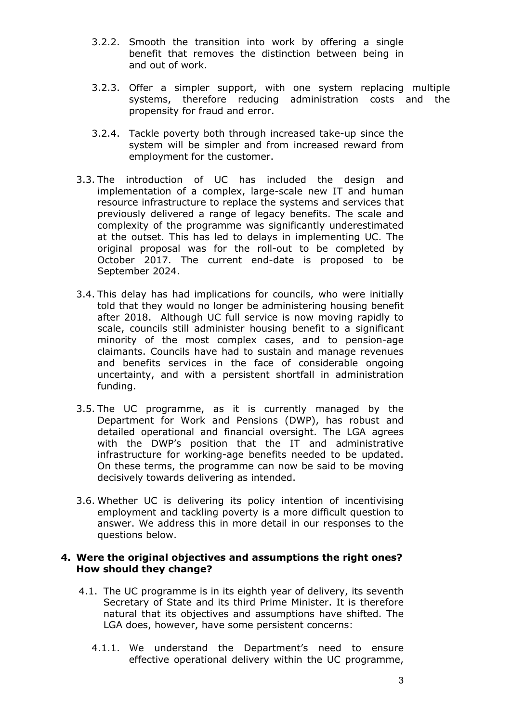- 3.2.2. Smooth the transition into work by offering a single benefit that removes the distinction between being in and out of work.
- 3.2.3. Offer a simpler support, with one system replacing multiple systems, therefore reducing administration costs and the propensity for fraud and error.
- 3.2.4. Tackle poverty both through increased take-up since the system will be simpler and from increased reward from employment for the customer.
- 3.3. The introduction of UC has included the design and implementation of a complex, large-scale new IT and human resource infrastructure to replace the systems and services that previously delivered a range of legacy benefits. The scale and complexity of the programme was significantly underestimated at the outset. This has led to delays in implementing UC. The original proposal was for the roll-out to be completed by October 2017. The current end-date is proposed to be September 2024.
- 3.4. This delay has had implications for councils, who were initially told that they would no longer be administering housing benefit after 2018. Although UC full service is now moving rapidly to scale, councils still administer housing benefit to a significant minority of the most complex cases, and to pension-age claimants. Councils have had to sustain and manage revenues and benefits services in the face of considerable ongoing uncertainty, and with a persistent shortfall in administration funding.
- 3.5. The UC programme, as it is currently managed by the Department for Work and Pensions (DWP), has robust and detailed operational and financial oversight. The LGA agrees with the DWP's position that the IT and administrative infrastructure for working-age benefits needed to be updated. On these terms, the programme can now be said to be moving decisively towards delivering as intended.
- 3.6. Whether UC is delivering its policy intention of incentivising employment and tackling poverty is a more difficult question to answer. We address this in more detail in our responses to the questions below.

#### **4. Were the original objectives and assumptions the right ones? How should they change?**

- 4.1. The UC programme is in its eighth year of delivery, its seventh Secretary of State and its third Prime Minister. It is therefore natural that its objectives and assumptions have shifted. The LGA does, however, have some persistent concerns:
	- 4.1.1. We understand the Department's need to ensure effective operational delivery within the UC programme,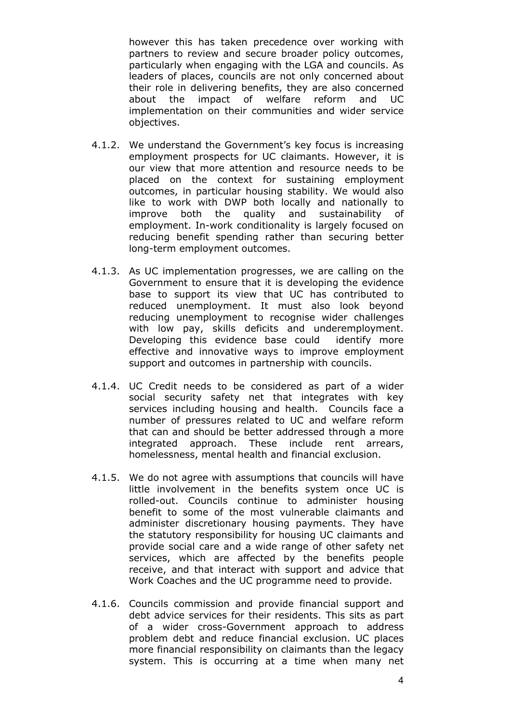however this has taken precedence over working with partners to review and secure broader policy outcomes, particularly when engaging with the LGA and councils. As leaders of places, councils are not only concerned about their role in delivering benefits, they are also concerned about the impact of welfare reform and UC implementation on their communities and wider service objectives.

- 4.1.2. We understand the Government's key focus is increasing employment prospects for UC claimants. However, it is our view that more attention and resource needs to be placed on the context for sustaining employment outcomes, in particular housing stability. We would also like to work with DWP both locally and nationally to improve both the quality and sustainability of employment. In-work conditionality is largely focused on reducing benefit spending rather than securing better long-term employment outcomes.
- 4.1.3. As UC implementation progresses, we are calling on the Government to ensure that it is developing the evidence base to support its view that UC has contributed to reduced unemployment. It must also look beyond reducing unemployment to recognise wider challenges with low pay, skills deficits and underemployment. Developing this evidence base could identify more effective and innovative ways to improve employment support and outcomes in partnership with councils.
- 4.1.4. UC Credit needs to be considered as part of a wider social security safety net that integrates with key services including housing and health. Councils face a number of pressures related to UC and welfare reform that can and should be better addressed through a more integrated approach. These include rent arrears, homelessness, mental health and financial exclusion.
- 4.1.5. We do not agree with assumptions that councils will have little involvement in the benefits system once UC is rolled-out. Councils continue to administer housing benefit to some of the most vulnerable claimants and administer discretionary housing payments. They have the statutory responsibility for housing UC claimants and provide social care and a wide range of other safety net services, which are affected by the benefits people receive, and that interact with support and advice that Work Coaches and the UC programme need to provide.
- 4.1.6. Councils commission and provide financial support and debt advice services for their residents. This sits as part of a wider cross-Government approach to address problem debt and reduce financial exclusion. UC places more financial responsibility on claimants than the legacy system. This is occurring at a time when many net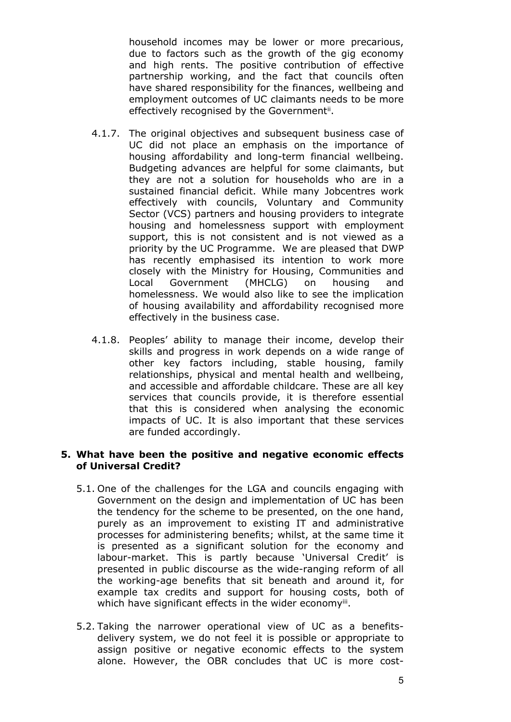household incomes may be lower or more precarious, due to factors such as the growth of the gig economy and high rents. The positive contribution of effective partnership working, and the fact that councils often have shared responsibility for the finances, wellbeing and employment outcomes of UC claimants needs to be more effectively recognised by the Government<sup>ii</sup>.

- 4.1.7. The original objectives and subsequent business case of UC did not place an emphasis on the importance of housing affordability and long-term financial wellbeing. Budgeting advances are helpful for some claimants, but they are not a solution for households who are in a sustained financial deficit. While many Jobcentres work effectively with councils, Voluntary and Community Sector (VCS) partners and housing providers to integrate housing and homelessness support with employment support, this is not consistent and is not viewed as a priority by the UC Programme. We are pleased that DWP has recently emphasised its intention to work more closely with the Ministry for Housing, Communities and Local Government (MHCLG) on housing and homelessness. We would also like to see the implication of housing availability and affordability recognised more effectively in the business case.
- 4.1.8. Peoples' ability to manage their income, develop their skills and progress in work depends on a wide range of other key factors including, stable housing, family relationships, physical and mental health and wellbeing, and accessible and affordable childcare. These are all key services that councils provide, it is therefore essential that this is considered when analysing the economic impacts of UC. It is also important that these services are funded accordingly.

#### **5. What have been the positive and negative economic effects of Universal Credit?**

- 5.1. One of the challenges for the LGA and councils engaging with Government on the design and implementation of UC has been the tendency for the scheme to be presented, on the one hand, purely as an improvement to existing IT and administrative processes for administering benefits; whilst, at the same time it is presented as a significant solution for the economy and labour-market. This is partly because 'Universal Credit' is presented in public discourse as the wide-ranging reform of all the working-age benefits that sit beneath and around it, for example tax credits and support for housing costs, both of which have significant effects in the wider economyiii.
- 5.2. Taking the narrower operational view of UC as a benefitsdelivery system, we do not feel it is possible or appropriate to assign positive or negative economic effects to the system alone. However, the OBR concludes that UC is more cost-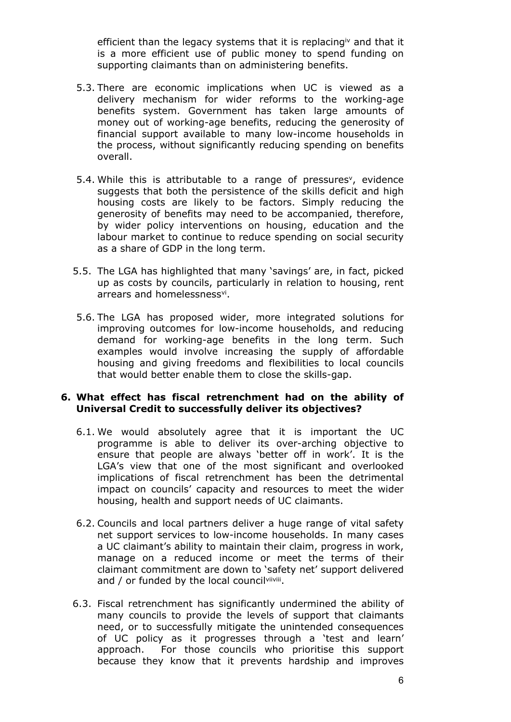efficient than the legacy systems that it is replacing<sup>iv</sup> and that it is a more efficient use of public money to spend funding on supporting claimants than on administering benefits.

- 5.3. There are economic implications when UC is viewed as a delivery mechanism for wider reforms to the working-age benefits system. Government has taken large amounts of money out of working-age benefits, reducing the generosity of financial support available to many low-income households in the process, without significantly reducing spending on benefits overall.
- 5.4. While this is attributable to a range of pressures<sup>v</sup>, evidence suggests that both the persistence of the skills deficit and high housing costs are likely to be factors. Simply reducing the generosity of benefits may need to be accompanied, therefore, by wider policy interventions on housing, education and the labour market to continue to reduce spending on social security as a share of GDP in the long term.
- 5.5. The LGA has highlighted that many 'savings' are, in fact, picked up as costs by councils, particularly in relation to housing, rent arrears and homelessness<sup>vi</sup>.
- 5.6. The LGA has proposed wider, more integrated solutions for improving outcomes for low-income households, and reducing demand for working-age benefits in the long term. Such examples would involve increasing the supply of affordable housing and giving freedoms and flexibilities to local councils that would better enable them to close the skills-gap.

#### **6. What effect has fiscal retrenchment had on the ability of Universal Credit to successfully deliver its objectives?**

- 6.1. We would absolutely agree that it is important the UC programme is able to deliver its over-arching objective to ensure that people are always 'better off in work'. It is the LGA's view that one of the most significant and overlooked implications of fiscal retrenchment has been the detrimental impact on councils' capacity and resources to meet the wider housing, health and support needs of UC claimants.
- 6.2. Councils and local partners deliver a huge range of vital safety net support services to low-income households. In many cases a UC claimant's ability to maintain their claim, progress in work, manage on a reduced income or meet the terms of their claimant commitment are down to 'safety net' support delivered and / or funded by the local councilvilyilli.
- 6.3. Fiscal retrenchment has significantly undermined the ability of many councils to provide the levels of support that claimants need, or to successfully mitigate the unintended consequences of UC policy as it progresses through a 'test and learn' approach. For those councils who prioritise this support because they know that it prevents hardship and improves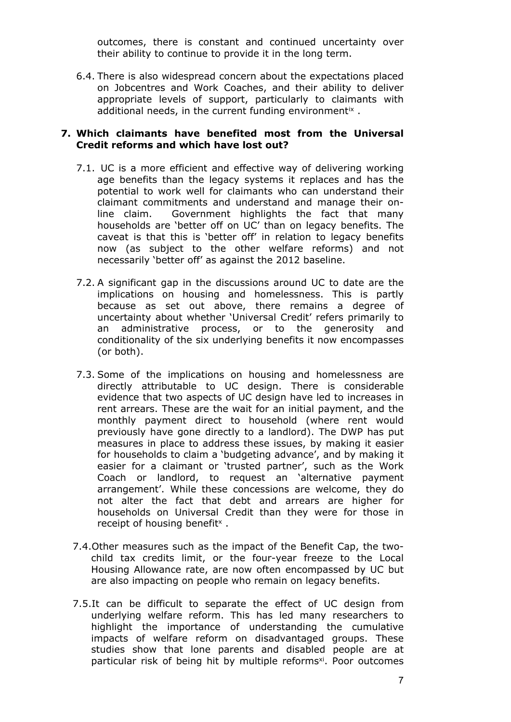outcomes, there is constant and continued uncertainty over their ability to continue to provide it in the long term.

6.4. There is also widespread concern about the expectations placed on Jobcentres and Work Coaches, and their ability to deliver appropriate levels of support, particularly to claimants with additional needs, in the current funding environment<sup>ix</sup>.

#### **7. Which claimants have benefited most from the Universal Credit reforms and which have lost out?**

- 7.1. UC is a more efficient and effective way of delivering working age benefits than the legacy systems it replaces and has the potential to work well for claimants who can understand their claimant commitments and understand and manage their online claim. Government highlights the fact that many households are 'better off on UC' than on legacy benefits. The caveat is that this is 'better off' in relation to legacy benefits now (as subject to the other welfare reforms) and not necessarily 'better off' as against the 2012 baseline.
- 7.2. A significant gap in the discussions around UC to date are the implications on housing and homelessness. This is partly because as set out above, there remains a degree of uncertainty about whether 'Universal Credit' refers primarily to an administrative process, or to the generosity and conditionality of the six underlying benefits it now encompasses (or both).
- 7.3. Some of the implications on housing and homelessness are directly attributable to UC design. There is considerable evidence that two aspects of UC design have led to increases in rent arrears. These are the wait for an initial payment, and the monthly payment direct to household (where rent would previously have gone directly to a landlord). The DWP has put measures in place to address these issues, by making it easier for households to claim a 'budgeting advance', and by making it easier for a claimant or 'trusted partner', such as the Work Coach or landlord, to request an 'alternative payment arrangement'. While these concessions are welcome, they do not alter the fact that debt and arrears are higher for households on Universal Credit than they were for those in receipt of housing benefit<sup> $\times$ </sup>.
- 7.4.Other measures such as the impact of the Benefit Cap, the twochild tax credits limit, or the four-year freeze to the Local Housing Allowance rate, are now often encompassed by UC but are also impacting on people who remain on legacy benefits.
- 7.5.It can be difficult to separate the effect of UC design from underlying welfare reform. This has led many researchers to highlight the importance of understanding the cumulative impacts of welfare reform on disadvantaged groups. These studies show that lone parents and disabled people are at particular risk of being hit by multiple reforms<sup>xi</sup>. Poor outcomes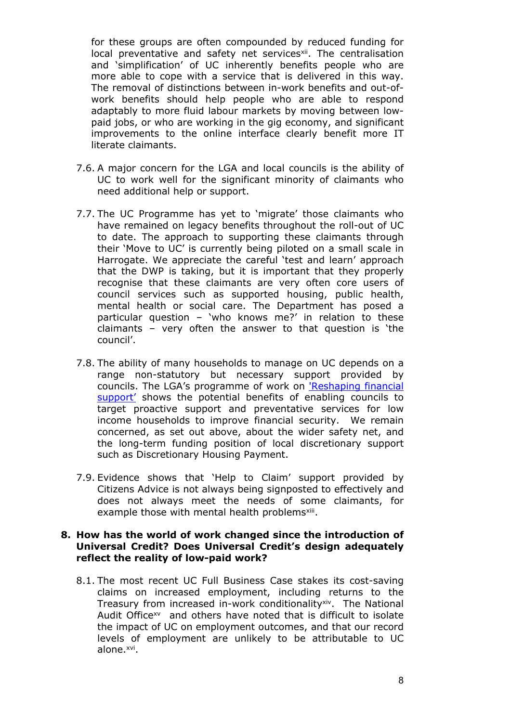for these groups are often compounded by reduced funding for local preventative and safety net services<sup>xii</sup>. The centralisation and 'simplification' of UC inherently benefits people who are more able to cope with a service that is delivered in this way. The removal of distinctions between in-work benefits and out-ofwork benefits should help people who are able to respond adaptably to more fluid labour markets by moving between lowpaid jobs, or who are working in the gig economy, and significant improvements to the online interface clearly benefit more IT literate claimants.

- 7.6. A major concern for the LGA and local councils is the ability of UC to work well for the significant minority of claimants who need additional help or support.
- 7.7. The UC Programme has yet to 'migrate' those claimants who have remained on legacy benefits throughout the roll-out of UC to date. The approach to supporting these claimants through their 'Move to UC' is currently being piloted on a small scale in Harrogate. We appreciate the careful 'test and learn' approach that the DWP is taking, but it is important that they properly recognise that these claimants are very often core users of council services such as supported housing, public health, mental health or social care. The Department has posed a particular question – 'who knows me?' in relation to these claimants – very often the answer to that question is 'the council'.
- 7.8. The ability of many households to manage on UC depends on a range non-statutory but necessary support provided by councils. The LGA's programme of work on ['Reshaping](https://www.local.gov.uk/reshaping-financial-support-how-local-authorities-can-help-support-low-income-households-financial) [financial](https://www.local.gov.uk/reshaping-financial-support-how-local-authorities-can-help-support-low-income-households-financial) [support'](https://www.local.gov.uk/reshaping-financial-support-how-local-authorities-can-help-support-low-income-households-financial) shows the potential benefits of enabling councils to target proactive support and preventative services for low income households to improve financial security. We remain concerned, as set out above, about the wider safety net, and the long-term funding position of local discretionary support such as Discretionary Housing Payment.
- 7.9. Evidence shows that 'Help to Claim' support provided by Citizens Advice is not always being signposted to effectively and does not always meet the needs of some claimants, for example those with mental health problems<sup>xiii</sup>.

#### **8. How has the world of work changed since the introduction of Universal Credit? Does Universal Credit's design adequately reflect the reality of low-paid work?**

8.1. The most recent UC Full Business Case stakes its cost-saving claims on increased employment, including returns to the Treasury from increased in-work conditionality<sup>xiv</sup>. The National Audit Office<sup>xv</sup> and others have noted that is difficult to isolate the impact of UC on employment outcomes, and that our record levels of employment are unlikely to be attributable to UC alone.<sup>xvi</sup>.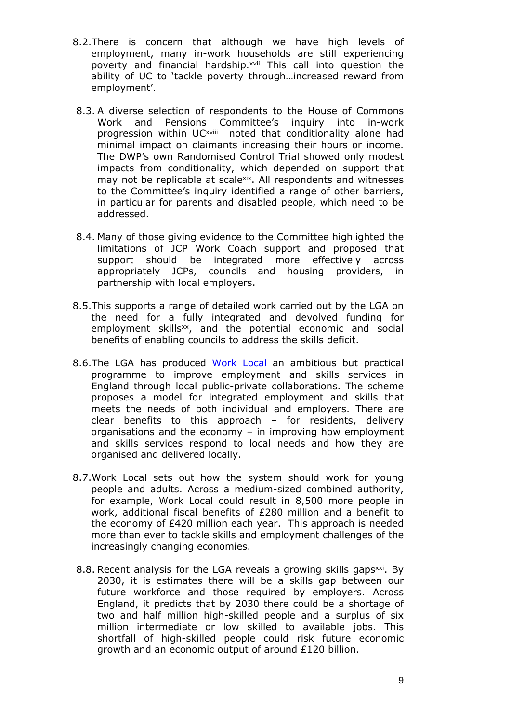- 8.2.There is concern that although we have high levels of employment, many in-work households are still experiencing poverty and financial hardship.<sup>xvii</sup> This call into question the ability of UC to 'tackle poverty through…increased reward from employment'.
- 8.3. A diverse selection of respondents to the House of Commons Work and Pensions Committee's inquiry into in-work progression within UC<sup>xviii</sup> noted that conditionality alone had minimal impact on claimants increasing their hours or income. The DWP's own Randomised Control Trial showed only modest impacts from conditionality, which depended on support that may not be replicable at scalexix. All respondents and witnesses to the Committee's inquiry identified a range of other barriers, in particular for parents and disabled people, which need to be addressed.
- 8.4. Many of those giving evidence to the Committee highlighted the limitations of JCP Work Coach support and proposed that support should be integrated more effectively across appropriately JCPs, councils and housing providers, in partnership with local employers.
- 8.5.This supports a range of detailed work carried out by the LGA on the need for a fully integrated and devolved funding for employment skills<sup>xx</sup>, and the potential economic and social benefits of enabling councils to address the skills deficit.
- 8.6.The LGA has produced [Work](https://www.local.gov.uk/topics/employment-and-skills/work-local) [Local](https://www.local.gov.uk/topics/employment-and-skills/work-local) an ambitious but practical programme to improve employment and skills services in England through local public-private collaborations. The scheme proposes a model for integrated employment and skills that meets the needs of both individual and employers. There are clear benefits to this approach – for residents, delivery organisations and the economy – in improving how employment and skills services respond to local needs and how they are organised and delivered locally.
- 8.7.Work Local sets out how the system should work for young people and adults. Across a medium-sized combined authority, for example, Work Local could result in 8,500 more people in work, additional fiscal benefits of £280 million and a benefit to the economy of £420 million each year. This approach is needed more than ever to tackle skills and employment challenges of the increasingly changing economies.
- 8.8. Recent analysis for the LGA reveals a growing skills gaps<sup>xxi</sup>. By 2030, it is estimates there will be a skills gap between our future workforce and those required by employers. Across England, it predicts that by 2030 there could be a shortage of two and half million high-skilled people and a surplus of six million intermediate or low skilled to available jobs. This shortfall of high-skilled people could risk future economic growth and an economic output of around £120 billion.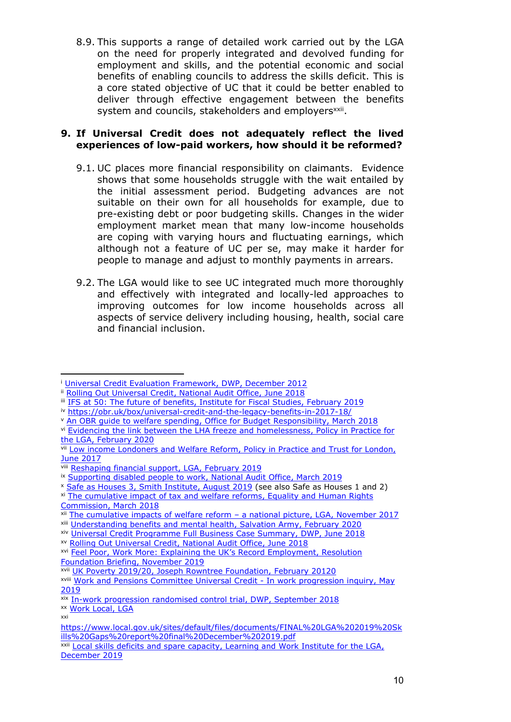8.9. This supports a range of detailed work carried out by the LGA on the need for properly integrated and devolved funding for employment and skills, and the potential economic and social benefits of enabling councils to address the skills deficit. This is a core stated objective of UC that it could be better enabled to deliver through effective engagement between the benefits system and councils, stakeholders and employers<sup>xxii</sup>.

#### **9. If Universal Credit does not adequately reflect the lived experiences of low-paid workers, how should it be reformed?**

- 9.1. UC places more financial responsibility on claimants. Evidence shows that some households struggle with the wait entailed by the initial assessment period. Budgeting advances are not suitable on their own for all households for example, due to pre-existing debt or poor budgeting skills. Changes in the wider employment market mean that many low-income households are coping with varying hours and fluctuating earnings, which although not a feature of UC per se, may make it harder for people to manage and adjust to monthly payments in arrears.
- 9.2. The LGA would like to see UC integrated much more thoroughly and effectively with integrated and locally-led approaches to improving outcomes for low income households across all aspects of service delivery including housing, health, social care and financial inclusion.

<sup>i</sup> [Universal](https://assets.publishing.service.gov.uk/government/uploads/system/uploads/attachment_data/file/180879/universal-credit-evaluation-framework.pdf) [Credit](https://assets.publishing.service.gov.uk/government/uploads/system/uploads/attachment_data/file/180879/universal-credit-evaluation-framework.pdf) [Evaluation](https://assets.publishing.service.gov.uk/government/uploads/system/uploads/attachment_data/file/180879/universal-credit-evaluation-framework.pdf) [Framework,](https://assets.publishing.service.gov.uk/government/uploads/system/uploads/attachment_data/file/180879/universal-credit-evaluation-framework.pdf) [DWP,](https://assets.publishing.service.gov.uk/government/uploads/system/uploads/attachment_data/file/180879/universal-credit-evaluation-framework.pdf) [December](https://assets.publishing.service.gov.uk/government/uploads/system/uploads/attachment_data/file/180879/universal-credit-evaluation-framework.pdf) [2012](https://assets.publishing.service.gov.uk/government/uploads/system/uploads/attachment_data/file/180879/universal-credit-evaluation-framework.pdf)

ii [Rolling](https://www.nao.org.uk/report/rolling-out-universal-credit/) [Out](https://www.nao.org.uk/report/rolling-out-universal-credit/) [Universal](https://www.nao.org.uk/report/rolling-out-universal-credit/) [Credit,](https://www.nao.org.uk/report/rolling-out-universal-credit/) [National](https://www.nao.org.uk/report/rolling-out-universal-credit/) [Audit](https://www.nao.org.uk/report/rolling-out-universal-credit/) [Office,](https://www.nao.org.uk/report/rolling-out-universal-credit/) [June](https://www.nao.org.uk/report/rolling-out-universal-credit/) [2018](https://www.nao.org.uk/report/rolling-out-universal-credit/)

iii [IFS](https://www.ifs.org.uk/publications/13936) [at](https://www.ifs.org.uk/publications/13936) [50:](https://www.ifs.org.uk/publications/13936) [The](https://www.ifs.org.uk/publications/13936) [future](https://www.ifs.org.uk/publications/13936) [of](https://www.ifs.org.uk/publications/13936) [benefits,](https://www.ifs.org.uk/publications/13936) [Institute](https://www.ifs.org.uk/publications/13936) [for](https://www.ifs.org.uk/publications/13936) [Fiscal](https://www.ifs.org.uk/publications/13936) [Studies,](https://www.ifs.org.uk/publications/13936) [February](https://www.ifs.org.uk/publications/13936) [2019](https://www.ifs.org.uk/publications/13936)

iv <https://obr.uk/box/universal-credit-and-the-legacy-benefits-in-2017-18/>

<sup>v</sup> [An](https://obr.uk/docs/dlm_uploads/An-OBR-guide-to-welfare-spending-March-2018.pdf) [OBR](https://obr.uk/docs/dlm_uploads/An-OBR-guide-to-welfare-spending-March-2018.pdf) [guide](https://obr.uk/docs/dlm_uploads/An-OBR-guide-to-welfare-spending-March-2018.pdf) [to](https://obr.uk/docs/dlm_uploads/An-OBR-guide-to-welfare-spending-March-2018.pdf) [welfare](https://obr.uk/docs/dlm_uploads/An-OBR-guide-to-welfare-spending-March-2018.pdf) [spending,](https://obr.uk/docs/dlm_uploads/An-OBR-guide-to-welfare-spending-March-2018.pdf) [Office](https://obr.uk/docs/dlm_uploads/An-OBR-guide-to-welfare-spending-March-2018.pdf) [for](https://obr.uk/docs/dlm_uploads/An-OBR-guide-to-welfare-spending-March-2018.pdf) [Budget](https://obr.uk/docs/dlm_uploads/An-OBR-guide-to-welfare-spending-March-2018.pdf) [Responsibility,](https://obr.uk/docs/dlm_uploads/An-OBR-guide-to-welfare-spending-March-2018.pdf) [March](https://obr.uk/docs/dlm_uploads/An-OBR-guide-to-welfare-spending-March-2018.pdf) [2018](https://obr.uk/docs/dlm_uploads/An-OBR-guide-to-welfare-spending-March-2018.pdf)

vi [Evidencing](https://www.local.gov.uk/sites/default/files/documents/Evidencing%20the%20link%20between%20the%20LHA%20freeze%20and%20homelessness-Full%20report-pub5Feb20.pdf) [the](https://www.local.gov.uk/sites/default/files/documents/Evidencing%20the%20link%20between%20the%20LHA%20freeze%20and%20homelessness-Full%20report-pub5Feb20.pdf) [link](https://www.local.gov.uk/sites/default/files/documents/Evidencing%20the%20link%20between%20the%20LHA%20freeze%20and%20homelessness-Full%20report-pub5Feb20.pdf) [between](https://www.local.gov.uk/sites/default/files/documents/Evidencing%20the%20link%20between%20the%20LHA%20freeze%20and%20homelessness-Full%20report-pub5Feb20.pdf) [the](https://www.local.gov.uk/sites/default/files/documents/Evidencing%20the%20link%20between%20the%20LHA%20freeze%20and%20homelessness-Full%20report-pub5Feb20.pdf) [LHA](https://www.local.gov.uk/sites/default/files/documents/Evidencing%20the%20link%20between%20the%20LHA%20freeze%20and%20homelessness-Full%20report-pub5Feb20.pdf) [freeze](https://www.local.gov.uk/sites/default/files/documents/Evidencing%20the%20link%20between%20the%20LHA%20freeze%20and%20homelessness-Full%20report-pub5Feb20.pdf) [and](https://www.local.gov.uk/sites/default/files/documents/Evidencing%20the%20link%20between%20the%20LHA%20freeze%20and%20homelessness-Full%20report-pub5Feb20.pdf) [homelessness,](https://www.local.gov.uk/sites/default/files/documents/Evidencing%20the%20link%20between%20the%20LHA%20freeze%20and%20homelessness-Full%20report-pub5Feb20.pdf) [Policy](https://www.local.gov.uk/sites/default/files/documents/Evidencing%20the%20link%20between%20the%20LHA%20freeze%20and%20homelessness-Full%20report-pub5Feb20.pdf) [in](https://www.local.gov.uk/sites/default/files/documents/Evidencing%20the%20link%20between%20the%20LHA%20freeze%20and%20homelessness-Full%20report-pub5Feb20.pdf) [Practice](https://www.local.gov.uk/sites/default/files/documents/Evidencing%20the%20link%20between%20the%20LHA%20freeze%20and%20homelessness-Full%20report-pub5Feb20.pdf) [for](https://www.local.gov.uk/sites/default/files/documents/Evidencing%20the%20link%20between%20the%20LHA%20freeze%20and%20homelessness-Full%20report-pub5Feb20.pdf) [the](https://www.local.gov.uk/sites/default/files/documents/Evidencing%20the%20link%20between%20the%20LHA%20freeze%20and%20homelessness-Full%20report-pub5Feb20.pdf) [LGA,](https://www.local.gov.uk/sites/default/files/documents/Evidencing%20the%20link%20between%20the%20LHA%20freeze%20and%20homelessness-Full%20report-pub5Feb20.pdf) [February](https://www.local.gov.uk/sites/default/files/documents/Evidencing%20the%20link%20between%20the%20LHA%20freeze%20and%20homelessness-Full%20report-pub5Feb20.pdf) [2020](https://www.local.gov.uk/sites/default/files/documents/Evidencing%20the%20link%20between%20the%20LHA%20freeze%20and%20homelessness-Full%20report-pub5Feb20.pdf)

vii [Low](https://www.trustforlondon.org.uk/publications/low-income-londoners-and-welfare-reform/) [income](https://www.trustforlondon.org.uk/publications/low-income-londoners-and-welfare-reform/) [Londoners](https://www.trustforlondon.org.uk/publications/low-income-londoners-and-welfare-reform/) [and](https://www.trustforlondon.org.uk/publications/low-income-londoners-and-welfare-reform/) [Welfare](https://www.trustforlondon.org.uk/publications/low-income-londoners-and-welfare-reform/) [Reform,](https://www.trustforlondon.org.uk/publications/low-income-londoners-and-welfare-reform/) [Policy](https://www.trustforlondon.org.uk/publications/low-income-londoners-and-welfare-reform/) [in](https://www.trustforlondon.org.uk/publications/low-income-londoners-and-welfare-reform/) [Practice](https://www.trustforlondon.org.uk/publications/low-income-londoners-and-welfare-reform/) [and](https://www.trustforlondon.org.uk/publications/low-income-londoners-and-welfare-reform/) [Trust](https://www.trustforlondon.org.uk/publications/low-income-londoners-and-welfare-reform/) [for](https://www.trustforlondon.org.uk/publications/low-income-londoners-and-welfare-reform/) [London,](https://www.trustforlondon.org.uk/publications/low-income-londoners-and-welfare-reform/) [June](https://www.trustforlondon.org.uk/publications/low-income-londoners-and-welfare-reform/) [2017](https://www.trustforlondon.org.uk/publications/low-income-londoners-and-welfare-reform/)

viii [Reshaping](https://www.local.gov.uk/reshaping-financial-support-how-local-authorities-can-help-support-low-income-households-financial) [financial](https://www.local.gov.uk/reshaping-financial-support-how-local-authorities-can-help-support-low-income-households-financial) [support,](https://www.local.gov.uk/reshaping-financial-support-how-local-authorities-can-help-support-low-income-households-financial) [LGA,](https://www.local.gov.uk/reshaping-financial-support-how-local-authorities-can-help-support-low-income-households-financial) [February](https://www.local.gov.uk/reshaping-financial-support-how-local-authorities-can-help-support-low-income-households-financial) [2019](https://www.local.gov.uk/reshaping-financial-support-how-local-authorities-can-help-support-low-income-households-financial)

ix [Supporting](https://www.nao.org.uk/report/supporting-disabled-people-to-work/) [disabled](https://www.nao.org.uk/report/supporting-disabled-people-to-work/) [people](https://www.nao.org.uk/report/supporting-disabled-people-to-work/) [to](https://www.nao.org.uk/report/supporting-disabled-people-to-work/) [work,](https://www.nao.org.uk/report/supporting-disabled-people-to-work/) [National](https://www.nao.org.uk/report/supporting-disabled-people-to-work/) [Audit](https://www.nao.org.uk/report/supporting-disabled-people-to-work/) [Office,](https://www.nao.org.uk/report/supporting-disabled-people-to-work/) [March](https://www.nao.org.uk/report/supporting-disabled-people-to-work/) [2019](https://www.nao.org.uk/report/supporting-disabled-people-to-work/)

<sup>x</sup> [Safe](http://www.smith-institute.org.uk/book/safe-as-houses-3-have-government-reforms-to-universal-credit-reduced-the-rent-arrears-of-southwarks-tenants/) [as](http://www.smith-institute.org.uk/book/safe-as-houses-3-have-government-reforms-to-universal-credit-reduced-the-rent-arrears-of-southwarks-tenants/) [Houses](http://www.smith-institute.org.uk/book/safe-as-houses-3-have-government-reforms-to-universal-credit-reduced-the-rent-arrears-of-southwarks-tenants/) [3,](http://www.smith-institute.org.uk/book/safe-as-houses-3-have-government-reforms-to-universal-credit-reduced-the-rent-arrears-of-southwarks-tenants/) [Smith](http://www.smith-institute.org.uk/book/safe-as-houses-3-have-government-reforms-to-universal-credit-reduced-the-rent-arrears-of-southwarks-tenants/) [Institute,](http://www.smith-institute.org.uk/book/safe-as-houses-3-have-government-reforms-to-universal-credit-reduced-the-rent-arrears-of-southwarks-tenants/) [August](http://www.smith-institute.org.uk/book/safe-as-houses-3-have-government-reforms-to-universal-credit-reduced-the-rent-arrears-of-southwarks-tenants/) [2019](http://www.smith-institute.org.uk/book/safe-as-houses-3-have-government-reforms-to-universal-credit-reduced-the-rent-arrears-of-southwarks-tenants/) (see also Safe as Houses 1 and 2)

xi [The](https://www.equalityhumanrights.com/en/publication-download/cumulative-impact-tax-and-welfare-reforms) [cumulative](https://www.equalityhumanrights.com/en/publication-download/cumulative-impact-tax-and-welfare-reforms) [impact](https://www.equalityhumanrights.com/en/publication-download/cumulative-impact-tax-and-welfare-reforms) [of](https://www.equalityhumanrights.com/en/publication-download/cumulative-impact-tax-and-welfare-reforms) [tax](https://www.equalityhumanrights.com/en/publication-download/cumulative-impact-tax-and-welfare-reforms) [and](https://www.equalityhumanrights.com/en/publication-download/cumulative-impact-tax-and-welfare-reforms) [welfare](https://www.equalityhumanrights.com/en/publication-download/cumulative-impact-tax-and-welfare-reforms) [reforms,](https://www.equalityhumanrights.com/en/publication-download/cumulative-impact-tax-and-welfare-reforms) [Equality](https://www.equalityhumanrights.com/en/publication-download/cumulative-impact-tax-and-welfare-reforms) [and](https://www.equalityhumanrights.com/en/publication-download/cumulative-impact-tax-and-welfare-reforms) [Human](https://www.equalityhumanrights.com/en/publication-download/cumulative-impact-tax-and-welfare-reforms) [Rights](https://www.equalityhumanrights.com/en/publication-download/cumulative-impact-tax-and-welfare-reforms) [Commission,](https://www.equalityhumanrights.com/en/publication-download/cumulative-impact-tax-and-welfare-reforms) [March](https://www.equalityhumanrights.com/en/publication-download/cumulative-impact-tax-and-welfare-reforms) [2018](https://www.equalityhumanrights.com/en/publication-download/cumulative-impact-tax-and-welfare-reforms)

xii [The](https://www.local.gov.uk/cumulative-impacts-welfare-reform-national-picture) [cumulative](https://www.local.gov.uk/cumulative-impacts-welfare-reform-national-picture) [impacts](https://www.local.gov.uk/cumulative-impacts-welfare-reform-national-picture) [of](https://www.local.gov.uk/cumulative-impacts-welfare-reform-national-picture) [welfare](https://www.local.gov.uk/cumulative-impacts-welfare-reform-national-picture) [reform](https://www.local.gov.uk/cumulative-impacts-welfare-reform-national-picture) [–](https://www.local.gov.uk/cumulative-impacts-welfare-reform-national-picture) [a](https://www.local.gov.uk/cumulative-impacts-welfare-reform-national-picture) [national](https://www.local.gov.uk/cumulative-impacts-welfare-reform-national-picture) [picture,](https://www.local.gov.uk/cumulative-impacts-welfare-reform-national-picture) [LGA,](https://www.local.gov.uk/cumulative-impacts-welfare-reform-national-picture) [November](https://www.local.gov.uk/cumulative-impacts-welfare-reform-national-picture) [2017](https://www.local.gov.uk/cumulative-impacts-welfare-reform-national-picture)

xiii [Understanding](https://www.salvationarmy.org.uk/files/finalucpapersinglespreadpdf/download?token=c8jQnA0M) [benefits](https://www.salvationarmy.org.uk/files/finalucpapersinglespreadpdf/download?token=c8jQnA0M) [and](https://www.salvationarmy.org.uk/files/finalucpapersinglespreadpdf/download?token=c8jQnA0M) [mental](https://www.salvationarmy.org.uk/files/finalucpapersinglespreadpdf/download?token=c8jQnA0M) [health,](https://www.salvationarmy.org.uk/files/finalucpapersinglespreadpdf/download?token=c8jQnA0M) [Salvation](https://www.salvationarmy.org.uk/files/finalucpapersinglespreadpdf/download?token=c8jQnA0M) [Army,](https://www.salvationarmy.org.uk/files/finalucpapersinglespreadpdf/download?token=c8jQnA0M) [February](https://www.salvationarmy.org.uk/files/finalucpapersinglespreadpdf/download?token=c8jQnA0M) [2020](https://www.salvationarmy.org.uk/files/finalucpapersinglespreadpdf/download?token=c8jQnA0M)

xiv [Universal](https://assets.publishing.service.gov.uk/government/uploads/system/uploads/attachment_data/file/725477/uc-business-case-summary.pdf) [Credit](https://assets.publishing.service.gov.uk/government/uploads/system/uploads/attachment_data/file/725477/uc-business-case-summary.pdf) [Programme](https://assets.publishing.service.gov.uk/government/uploads/system/uploads/attachment_data/file/725477/uc-business-case-summary.pdf) [Full](https://assets.publishing.service.gov.uk/government/uploads/system/uploads/attachment_data/file/725477/uc-business-case-summary.pdf) [Business](https://assets.publishing.service.gov.uk/government/uploads/system/uploads/attachment_data/file/725477/uc-business-case-summary.pdf) [Case](https://assets.publishing.service.gov.uk/government/uploads/system/uploads/attachment_data/file/725477/uc-business-case-summary.pdf) [Summary,](https://assets.publishing.service.gov.uk/government/uploads/system/uploads/attachment_data/file/725477/uc-business-case-summary.pdf) [DWP,](https://assets.publishing.service.gov.uk/government/uploads/system/uploads/attachment_data/file/725477/uc-business-case-summary.pdf) [June](https://assets.publishing.service.gov.uk/government/uploads/system/uploads/attachment_data/file/725477/uc-business-case-summary.pdf) [2018](https://assets.publishing.service.gov.uk/government/uploads/system/uploads/attachment_data/file/725477/uc-business-case-summary.pdf)

xv [Rolling](https://www.nao.org.uk/report/rolling-out-universal-credit/) [Out](https://www.nao.org.uk/report/rolling-out-universal-credit/) [Universal](https://www.nao.org.uk/report/rolling-out-universal-credit/) [Credit,](https://www.nao.org.uk/report/rolling-out-universal-credit/) [National](https://www.nao.org.uk/report/rolling-out-universal-credit/) [Audit](https://www.nao.org.uk/report/rolling-out-universal-credit/) [Office,](https://www.nao.org.uk/report/rolling-out-universal-credit/) [June](https://www.nao.org.uk/report/rolling-out-universal-credit/) [2018](https://www.nao.org.uk/report/rolling-out-universal-credit/)

xvi [Feel](https://www.resolutionfoundation.org/app/uploads/2019/11/Feel-poor-work-more.pdf) [Poor,](https://www.resolutionfoundation.org/app/uploads/2019/11/Feel-poor-work-more.pdf) [Work](https://www.resolutionfoundation.org/app/uploads/2019/11/Feel-poor-work-more.pdf) [More:](https://www.resolutionfoundation.org/app/uploads/2019/11/Feel-poor-work-more.pdf) [Explaining](https://www.resolutionfoundation.org/app/uploads/2019/11/Feel-poor-work-more.pdf) [the](https://www.resolutionfoundation.org/app/uploads/2019/11/Feel-poor-work-more.pdf) [UK's](https://www.resolutionfoundation.org/app/uploads/2019/11/Feel-poor-work-more.pdf) [Record](https://www.resolutionfoundation.org/app/uploads/2019/11/Feel-poor-work-more.pdf) [Employment,](https://www.resolutionfoundation.org/app/uploads/2019/11/Feel-poor-work-more.pdf) [Resolution](https://www.resolutionfoundation.org/app/uploads/2019/11/Feel-poor-work-more.pdf) [Foundation](https://www.resolutionfoundation.org/app/uploads/2019/11/Feel-poor-work-more.pdf) [Briefing,](https://www.resolutionfoundation.org/app/uploads/2019/11/Feel-poor-work-more.pdf) [November](https://www.resolutionfoundation.org/app/uploads/2019/11/Feel-poor-work-more.pdf) [2019](https://www.resolutionfoundation.org/app/uploads/2019/11/Feel-poor-work-more.pdf)

xvii [UK](file:///C://Users/rosed/Downloads/jrf_-_uk_poverty_2019-20_report_1.pdf) [Poverty](file:///C://Users/rosed/Downloads/jrf_-_uk_poverty_2019-20_report_1.pdf) [2019/20,](file:///C://Users/rosed/Downloads/jrf_-_uk_poverty_2019-20_report_1.pdf) [Joseph](file:///C://Users/rosed/Downloads/jrf_-_uk_poverty_2019-20_report_1.pdf) [Rowntree](file:///C://Users/rosed/Downloads/jrf_-_uk_poverty_2019-20_report_1.pdf) [Foundation,](file:///C://Users/rosed/Downloads/jrf_-_uk_poverty_2019-20_report_1.pdf) [February](file:///C://Users/rosed/Downloads/jrf_-_uk_poverty_2019-20_report_1.pdf) [20120](file:///C://Users/rosed/Downloads/jrf_-_uk_poverty_2019-20_report_1.pdf)

xviii [Work](https://www.parliament.uk/business/committees/committees-a-z/commons-select/work-and-pensions-committee/inquiries/parliament-2017/inquiry/universal-credit-budget-2018-17-19/in-work-progression-17-19/publications/) [and](https://www.parliament.uk/business/committees/committees-a-z/commons-select/work-and-pensions-committee/inquiries/parliament-2017/inquiry/universal-credit-budget-2018-17-19/in-work-progression-17-19/publications/) [Pensions](https://www.parliament.uk/business/committees/committees-a-z/commons-select/work-and-pensions-committee/inquiries/parliament-2017/inquiry/universal-credit-budget-2018-17-19/in-work-progression-17-19/publications/) [Committee](https://www.parliament.uk/business/committees/committees-a-z/commons-select/work-and-pensions-committee/inquiries/parliament-2017/inquiry/universal-credit-budget-2018-17-19/in-work-progression-17-19/publications/) [Universal](https://www.parliament.uk/business/committees/committees-a-z/commons-select/work-and-pensions-committee/inquiries/parliament-2017/inquiry/universal-credit-budget-2018-17-19/in-work-progression-17-19/publications/) [Credit](https://www.parliament.uk/business/committees/committees-a-z/commons-select/work-and-pensions-committee/inquiries/parliament-2017/inquiry/universal-credit-budget-2018-17-19/in-work-progression-17-19/publications/) [-](https://www.parliament.uk/business/committees/committees-a-z/commons-select/work-and-pensions-committee/inquiries/parliament-2017/inquiry/universal-credit-budget-2018-17-19/in-work-progression-17-19/publications/) [In](https://www.parliament.uk/business/committees/committees-a-z/commons-select/work-and-pensions-committee/inquiries/parliament-2017/inquiry/universal-credit-budget-2018-17-19/in-work-progression-17-19/publications/) [work](https://www.parliament.uk/business/committees/committees-a-z/commons-select/work-and-pensions-committee/inquiries/parliament-2017/inquiry/universal-credit-budget-2018-17-19/in-work-progression-17-19/publications/) [progression](https://www.parliament.uk/business/committees/committees-a-z/commons-select/work-and-pensions-committee/inquiries/parliament-2017/inquiry/universal-credit-budget-2018-17-19/in-work-progression-17-19/publications/) [inquiry,](https://www.parliament.uk/business/committees/committees-a-z/commons-select/work-and-pensions-committee/inquiries/parliament-2017/inquiry/universal-credit-budget-2018-17-19/in-work-progression-17-19/publications/) [May](https://www.parliament.uk/business/committees/committees-a-z/commons-select/work-and-pensions-committee/inquiries/parliament-2017/inquiry/universal-credit-budget-2018-17-19/in-work-progression-17-19/publications/) [2019](https://www.parliament.uk/business/committees/committees-a-z/commons-select/work-and-pensions-committee/inquiries/parliament-2017/inquiry/universal-credit-budget-2018-17-19/in-work-progression-17-19/publications/)

xix [In-work](https://www.gov.uk/government/publications/universal-credit-in-work-progression-randomised-controlled-trial) [progression](https://www.gov.uk/government/publications/universal-credit-in-work-progression-randomised-controlled-trial) [randomised](https://www.gov.uk/government/publications/universal-credit-in-work-progression-randomised-controlled-trial) [control](https://www.gov.uk/government/publications/universal-credit-in-work-progression-randomised-controlled-trial) [trial,](https://www.gov.uk/government/publications/universal-credit-in-work-progression-randomised-controlled-trial) [DWP,](https://www.gov.uk/government/publications/universal-credit-in-work-progression-randomised-controlled-trial) [September](https://www.gov.uk/government/publications/universal-credit-in-work-progression-randomised-controlled-trial) [2018](https://www.gov.uk/government/publications/universal-credit-in-work-progression-randomised-controlled-trial)

xx [Work](https://www.local.gov.uk/topics/employment-and-skills/work-local) [Local,](https://www.local.gov.uk/topics/employment-and-skills/work-local) [LGA](https://www.local.gov.uk/topics/employment-and-skills/work-local)

xxi

[https://www.local.gov.uk/sites/default/files/documents/FINAL%20LGA%202019%20Sk](https://www.local.gov.uk/sites/default/files/documents/FINAL%20LGA%202019%20Skills%20Gaps%20report%20final%20December%202019.pdf) [ills%20Gaps%20report%20final%20December%202019.pdf](https://www.local.gov.uk/sites/default/files/documents/FINAL%20LGA%202019%20Skills%20Gaps%20report%20final%20December%202019.pdf)

xxii [Local](https://www.local.gov.uk/sites/default/files/documents/FINAL%20LGA%202019%20Skills%20Gaps%20report%20final%20December%202019.pdf) [skills](https://www.local.gov.uk/sites/default/files/documents/FINAL%20LGA%202019%20Skills%20Gaps%20report%20final%20December%202019.pdf) [deficits](https://www.local.gov.uk/sites/default/files/documents/FINAL%20LGA%202019%20Skills%20Gaps%20report%20final%20December%202019.pdf) [and](https://www.local.gov.uk/sites/default/files/documents/FINAL%20LGA%202019%20Skills%20Gaps%20report%20final%20December%202019.pdf) [spare](https://www.local.gov.uk/sites/default/files/documents/FINAL%20LGA%202019%20Skills%20Gaps%20report%20final%20December%202019.pdf) [capacity,](https://www.local.gov.uk/sites/default/files/documents/FINAL%20LGA%202019%20Skills%20Gaps%20report%20final%20December%202019.pdf) [Learning](https://www.local.gov.uk/sites/default/files/documents/FINAL%20LGA%202019%20Skills%20Gaps%20report%20final%20December%202019.pdf) and [Work](https://www.local.gov.uk/sites/default/files/documents/FINAL%20LGA%202019%20Skills%20Gaps%20report%20final%20December%202019.pdf) [Institute](https://www.local.gov.uk/sites/default/files/documents/FINAL%20LGA%202019%20Skills%20Gaps%20report%20final%20December%202019.pdf) [for](https://www.local.gov.uk/sites/default/files/documents/FINAL%20LGA%202019%20Skills%20Gaps%20report%20final%20December%202019.pdf) [the](https://www.local.gov.uk/sites/default/files/documents/FINAL%20LGA%202019%20Skills%20Gaps%20report%20final%20December%202019.pdf) [LGA,](https://www.local.gov.uk/sites/default/files/documents/FINAL%20LGA%202019%20Skills%20Gaps%20report%20final%20December%202019.pdf) [December](https://www.local.gov.uk/sites/default/files/documents/FINAL%20LGA%202019%20Skills%20Gaps%20report%20final%20December%202019.pdf) [2019](https://www.local.gov.uk/sites/default/files/documents/FINAL%20LGA%202019%20Skills%20Gaps%20report%20final%20December%202019.pdf)